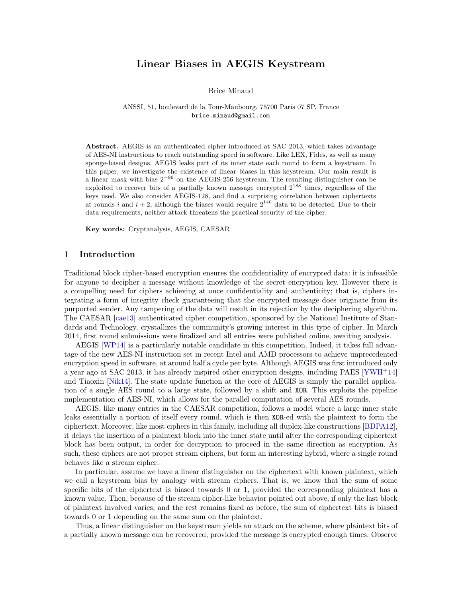# Linear Biases in AEGIS Keystream

Brice Minaud

ANSSI, 51, boulevard de la Tour-Maubourg, 75700 Paris 07 SP, France brice.minaud@gmail.com

Abstract. AEGIS is an authenticated cipher introduced at SAC 2013, which takes advantage of AES-NI instructions to reach outstanding speed in software. Like LEX, Fides, as well as many sponge-based designs, AEGIS leaks part of its inner state each round to form a keystream. In this paper, we investigate the existence of linear biases in this keystream. Our main result is a linear mask with bias  $2^{-89}$  on the AEGIS-256 keystream. The resulting distinguisher can be exploited to recover bits of a partially known message encrypted  $2^{188}$  times, regardless of the keys used. We also consider AEGIS-128, and find a surprising correlation between ciphertexts at rounds i and  $i + 2$ , although the biases would require  $2^{140}$  data to be detected. Due to their data requirements, neither attack threatens the practical security of the cipher.

Key words: Cryptanalysis, AEGIS, CAESAR

### 1 Introduction

Traditional block cipher-based encryption ensures the confidentiality of encrypted data: it is infeasible for anyone to decipher a message without knowledge of the secret encryption key. However there is a compelling need for ciphers achieving at once confidentiality and authenticity; that is, ciphers integrating a form of integrity check guaranteeing that the encrypted message does originate from its purported sender. Any tampering of the data will result in its rejection by the deciphering algorithm. The CAESAR [\[cae13\]](#page-8-0) authenticated cipher competition, sponsored by the National Institute of Standards and Technology, crystallizes the community's growing interest in this type of cipher. In March 2014, first round submissions were finalized and all entries were published online, awaiting analysis.

AEGIS [\[WP14\]](#page-9-0) is a particularly notable candidate in this competition. Indeed, it takes full advantage of the new AES-NI instruction set in recent Intel and AMD processors to achieve unprecedented encryption speed in software, at around half a cycle per byte. Although AEGIS was first introduced only a year ago at SAC 2013, it has already inspired other encryption designs, including PAES [\[YWH](#page-9-1)<sup>+</sup>14] and Tiaoxin [\[Nik14\]](#page-9-2). The state update function at the core of AEGIS is simply the parallel application of a single AES round to a large state, followed by a shift and XOR. This exploits the pipeline implementation of AES-NI, which allows for the parallel computation of several AES rounds.

AEGIS, like many entries in the CAESAR competition, follows a model where a large inner state leaks essentially a portion of itself every round, which is then XOR-ed with the plaintext to form the ciphertext. Moreover, like most ciphers in this family, including all duplex-like constructions [\[BDPA12\]](#page-8-1), it delays the insertion of a plaintext block into the inner state until after the corresponding ciphertext block has been output, in order for decryption to proceed in the same direction as encryption. As such, these ciphers are not proper stream ciphers, but form an interesting hybrid, where a single round behaves like a stream cipher.

In particular, assume we have a linear distinguisher on the ciphertext with known plaintext, which we call a keystream bias by analogy with stream ciphers. That is, we know that the sum of some specific bits of the ciphertext is biased towards 0 or 1, provided the corresponding plaintext has a known value. Then, because of the stream cipher-like behavior pointed out above, if only the last block of plaintext involved varies, and the rest remains fixed as before, the sum of ciphertext bits is biased towards 0 or 1 depending on the same sum on the plaintext.

Thus, a linear distinguisher on the keystream yields an attack on the scheme, where plaintext bits of a partially known message can be recovered, provided the message is encrypted enough times. Observe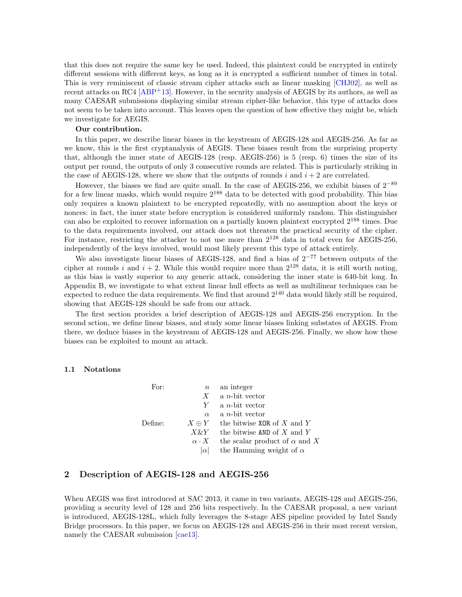that this does not require the same key be used. Indeed, this plaintext could be encrypted in entirely different sessions with different keys, as long as it is encrypted a sufficient number of times in total. This is very reminiscent of classic stream cipher attacks such as linear masking [\[CHJ02\]](#page-8-2), as well as recent attacks on RC4  $[ABP+13]$  $[ABP+13]$ . However, in the security analysis of AEGIS by its authors, as well as many CAESAR submissions displaying similar stream cipher-like behavior, this type of attacks does not seem to be taken into account. This leaves open the question of how effective they might be, which we investigate for AEGIS.

### Our contribution.

In this paper, we describe linear biases in the keystream of AEGIS-128 and AEGIS-256. As far as we know, this is the first cryptanalysis of AEGIS. These biases result from the surprising property that, although the inner state of AEGIS-128 (resp. AEGIS-256) is 5 (resp. 6) times the size of its output per round, the outputs of only 3 consecutive rounds are related. This is particularly striking in the case of AEGIS-128, where we show that the outputs of rounds i and  $i + 2$  are correlated.

However, the biases we find are quite small. In the case of AEGIS-256, we exhibit biases of  $2^{-89}$ for a few linear masks, which would require  $2^{188}$  data to be detected with good probability. This bias only requires a known plaintext to be encrypted repeatedly, with no assumption about the keys or nonces: in fact, the inner state before encryption is considered uniformly random. This distinguisher can also be exploited to recover information on a partially known plaintext encrypted 2<sup>188</sup> times. Due to the data requirements involved, our attack does not threaten the practical security of the cipher. For instance, restricting the attacker to not use more than  $2^{128}$  data in total even for AEGIS-256, independently of the keys involved, would most likely prevent this type of attack entirely.

We also investigate linear biases of AEGIS-128, and find a bias of  $2^{-77}$  between outputs of the cipher at rounds i and  $i + 2$ . While this would require more than  $2^{128}$  data, it is still worth noting, as this bias is vastly superior to any generic attack, considering the inner state is 640-bit long. In Appendix B, we investigate to what extent linear hull effects as well as multilinear techniques can be expected to reduce the data requirements. We find that around  $2^{140}$  data would likely still be required, showing that AEGIS-128 should be safe from our attack.

The first section provides a brief description of AEGIS-128 and AEGIS-256 encryption. In the second sction, we define linear biases, and study some linear biases linking substates of AEGIS. From there, we deduce biases in the keystream of AEGIS-128 and AEGIS-256. Finally, we show how these biases can be exploited to mount an attack.

#### 1.1 Notations

| For:    | $\boldsymbol{n}$ | an integer                           |
|---------|------------------|--------------------------------------|
|         | X                | a <i>n</i> -bit vector               |
|         | Y                | a <i>n</i> -bit vector               |
|         | $\alpha$         | a <i>n</i> -bit vector               |
| Define: | $X \oplus Y$     | the bitwise XOR of X and Y           |
|         | $X\&Y$           | the bitwise AND of X and Y           |
|         | $\alpha \cdot X$ | the scalar product of $\alpha$ and X |
|         | $ \alpha $       | the Hamming weight of $\alpha$       |

## 2 Description of AEGIS-128 and AEGIS-256

When AEGIS was first introduced at SAC 2013, it came in two variants, AEGIS-128 and AEGIS-256, providing a security level of 128 and 256 bits respectively. In the CAESAR proposal, a new variant is introduced, AEGIS-128L, which fully leverages the 8-stage AES pipeline provided by Intel Sandy Bridge processors. In this paper, we focus on AEGIS-128 and AEGIS-256 in their most recent version, namely the CAESAR submission  $[cae13]$ .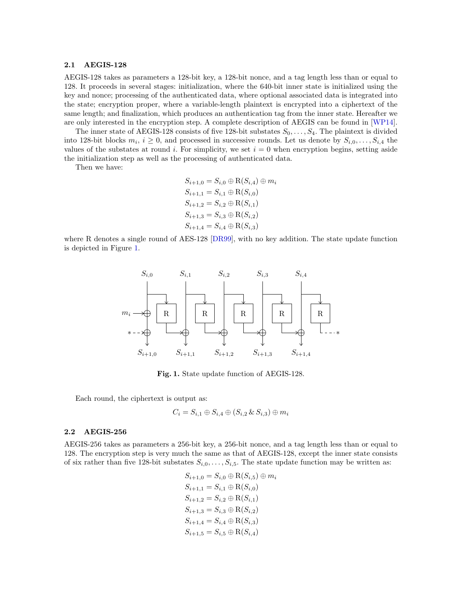#### 2.1 AEGIS-128

AEGIS-128 takes as parameters a 128-bit key, a 128-bit nonce, and a tag length less than or equal to 128. It proceeds in several stages: initialization, where the 640-bit inner state is initialized using the key and nonce; processing of the authenticated data, where optional associated data is integrated into the state; encryption proper, where a variable-length plaintext is encrypted into a ciphertext of the same length; and finalization, which produces an authentication tag from the inner state. Hereafter we are only interested in the encryption step. A complete description of AEGIS can be found in [\[WP14\]](#page-9-0).

The inner state of AEGIS-128 consists of five 128-bit substates  $S_0, \ldots, S_4$ . The plaintext is divided into 128-bit blocks  $m_i$ ,  $i \geq 0$ , and processed in successive rounds. Let us denote by  $S_{i,0}, \ldots, S_{i,4}$  the values of the substates at round i. For simplicity, we set  $i = 0$  when encryption begins, setting aside the initialization step as well as the processing of authenticated data.

Then we have:

 $S_{i+1,0} = S_{i,0} \oplus R(S_{i,4}) \oplus m_i$  $S_{i+1,1} = S_{i,1} \oplus R(S_{i,0})$  $S_{i+1,2} = S_{i,2} \oplus R(S_{i,1})$  $S_{i+1,3} = S_{i,3} \oplus R(S_{i,2})$  $S_{i+1,4} = S_{i,4} \oplus R(S_{i,3})$ 

where R denotes a single round of AES-128 [\[DR99\]](#page-8-4), with no key addition. The state update function is depicted in Figure [1.](#page-2-0)



Fig. 1. State update function of AEGIS-128.

<span id="page-2-0"></span>Each round, the ciphertext is output as:

$$
C_i = S_{i,1} \oplus S_{i,4} \oplus (S_{i,2} \& S_{i,3}) \oplus m_i
$$

#### 2.2 AEGIS-256

AEGIS-256 takes as parameters a 256-bit key, a 256-bit nonce, and a tag length less than or equal to 128. The encryption step is very much the same as that of AEGIS-128, except the inner state consists of six rather than five 128-bit substates  $S_{i,0}, \ldots, S_{i,5}$ . The state update function may be written as:

$$
S_{i+1,0} = S_{i,0} \oplus R(S_{i,5}) \oplus m_i
$$
  
\n
$$
S_{i+1,1} = S_{i,1} \oplus R(S_{i,0})
$$
  
\n
$$
S_{i+1,2} = S_{i,2} \oplus R(S_{i,1})
$$
  
\n
$$
S_{i+1,3} = S_{i,3} \oplus R(S_{i,2})
$$
  
\n
$$
S_{i+1,4} = S_{i,4} \oplus R(S_{i,3})
$$
  
\n
$$
S_{i+1,5} = S_{i,5} \oplus R(S_{i,4})
$$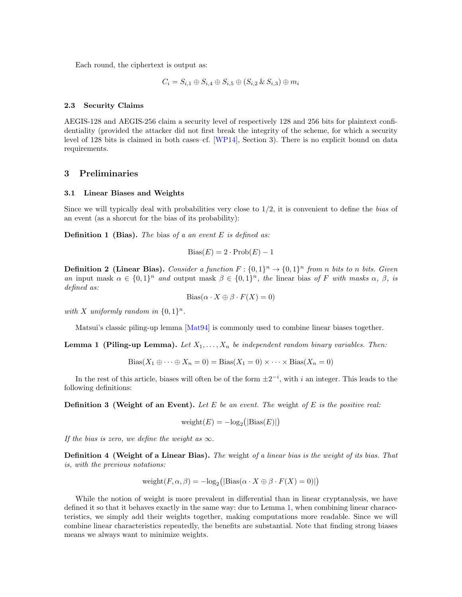Each round, the ciphertext is output as:

$$
C_i = S_{i,1} \oplus S_{i,4} \oplus S_{i,5} \oplus (S_{i,2} \& S_{i,3}) \oplus m_i
$$

#### 2.3 Security Claims

AEGIS-128 and AEGIS-256 claim a security level of respectively 128 and 256 bits for plaintext confidentiality (provided the attacker did not first break the integrity of the scheme, for which a security level of 128 bits is claimed in both cases–cf. [\[WP14\]](#page-9-0), Section 3). There is no explicit bound on data requirements.

## 3 Preliminaries

### 3.1 Linear Biases and Weights

Since we will typically deal with probabilities very close to  $1/2$ , it is convenient to define the *bias* of an event (as a shorcut for the bias of its probability):

**Definition 1 (Bias).** The bias of a an event  $E$  is defined as:

$$
Bias(E) = 2 \cdot Prob(E) - 1
$$

**Definition 2 (Linear Bias).** Consider a function  $F: \{0,1\}^n \to \{0,1\}^n$  from n bits to n bits. Given an input mask  $\alpha \in \{0,1\}^n$  and output mask  $\beta \in \{0,1\}^n$ , the linear bias of F with masks  $\alpha$ ,  $\beta$ , is defined as:

$$
\text{Bias}(\alpha \cdot X \oplus \beta \cdot F(X) = 0)
$$

with X uniformly random in  $\{0,1\}^n$ .

Matsui's classic piling-up lemma [\[Mat94\]](#page-9-3) is commonly used to combine linear biases together.

<span id="page-3-0"></span>**Lemma 1 (Piling-up Lemma).** Let  $X_1, \ldots, X_n$  be independent random binary variables. Then:

$$
Bias(X_1 \oplus \cdots \oplus X_n = 0) = Bias(X_1 = 0) \times \cdots \times Bias(X_n = 0)
$$

In the rest of this article, biases will often be of the form  $\pm 2^{-i}$ , with i an integer. This leads to the following definitions:

**Definition 3 (Weight of an Event).** Let  $E$  be an event. The weight of  $E$  is the positive real:

$$
weight(E) = -log_2(|Bias(E)|)
$$

If the bias is zero, we define the weight as  $\infty$ .

Definition 4 (Weight of a Linear Bias). The weight of a linear bias is the weight of its bias. That is, with the previous notations:

$$
weight(F, \alpha, \beta) = -log_2(|Bias(\alpha \cdot X \oplus \beta \cdot F(X) = 0)|)
$$

While the notion of weight is more prevalent in differential than in linear cryptanalysis, we have defined it so that it behaves exactly in the same way: due to Lemma [1,](#page-3-0) when combining linear characeteristics, we simply add their weights together, making computations more readable. Since we will combine linear characteristics repeatedly, the benefits are substantial. Note that finding strong biases means we always want to minimize weights.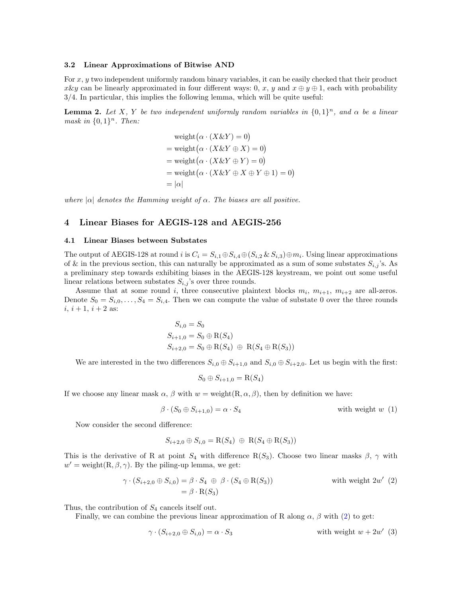#### <span id="page-4-3"></span>3.2 Linear Approximations of Bitwise AND

For  $x, y$  two independent uniformly random binary variables, it can be easily checked that their product x & y can be linearly approximated in four different ways: 0, x, y and  $x \oplus y \oplus 1$ , each with probability 3/4. In particular, this implies the following lemma, which will be quite useful:

**Lemma 2.** Let X, Y be two independent uniformly random variables in  $\{0,1\}^n$ , and  $\alpha$  be a linear mask in  $\{0,1\}^n$ . Then:

$$
\begin{aligned} \text{weight}\big(\alpha \cdot (X \& Y) = 0\big) \\ &= \text{weight}\big(\alpha \cdot (X \& Y \oplus X) = 0\big) \\ &= \text{weight}\big(\alpha \cdot (X \& Y \oplus Y) = 0\big) \\ &= \text{weight}\big(\alpha \cdot (X \& Y \oplus X \oplus Y \oplus 1) = 0\big) \\ &= |\alpha| \end{aligned}
$$

where  $|\alpha|$  denotes the Hamming weight of  $\alpha$ . The biases are all positive.

### 4 Linear Biases for AEGIS-128 and AEGIS-256

### <span id="page-4-4"></span>4.1 Linear Biases between Substates

The output of AEGIS-128 at round i is  $C_i = S_{i,1} \oplus S_{i,4} \oplus (S_{i,2} \& S_{i,3}) \oplus m_i$ . Using linear approximations of & in the previous section, this can naturally be approximated as a sum of some substates  $S_{i,j}$ 's. As a preliminary step towards exhibiting biases in the AEGIS-128 keystream, we point out some useful linear relations between substates  $S_{i,j}$ 's over three rounds.

Assume that at some round i, three consecutive plaintext blocks  $m_i$ ,  $m_{i+1}$ ,  $m_{i+2}$  are all-zeros. Denote  $S_0 = S_{i,0}, \ldots, S_4 = S_{i,4}$ . Then we can compute the value of substate 0 over the three rounds  $i, i + 1, i + 2$  as:

$$
S_{i,0} = S_0
$$
  
\n
$$
S_{i+1,0} = S_0 \oplus R(S_4)
$$
  
\n
$$
S_{i+2,0} = S_0 \oplus R(S_4) \oplus R(S_4 \oplus R(S_3))
$$

We are interested in the two differences  $S_{i,0} \oplus S_{i+1,0}$  and  $S_{i,0} \oplus S_{i+2,0}$ . Let us begin with the first:

<span id="page-4-1"></span><span id="page-4-0"></span>
$$
S_0 \oplus S_{i+1,0} = \mathcal{R}(S_4)
$$

If we choose any linear mask  $\alpha$ ,  $\beta$  with  $w = \text{weight}(R, \alpha, \beta)$ , then by definition we have:

$$
\beta \cdot (S_0 \oplus S_{i+1,0}) = \alpha \cdot S_4 \qquad \text{with weight } w \tag{1}
$$

Now consider the second difference:

<span id="page-4-2"></span>
$$
S_{i+2,0} \oplus S_{i,0} = R(S_4) \oplus R(S_4 \oplus R(S_3))
$$

This is the derivative of R at point  $S_4$  with difference R( $S_3$ ). Choose two linear masks  $\beta$ ,  $\gamma$  with  $w' =$  weight $(R, \beta, \gamma)$ . By the piling-up lemma, we get:

$$
\gamma \cdot (S_{i+2,0} \oplus S_{i,0}) = \beta \cdot S_4 \oplus \beta \cdot (S_4 \oplus R(S_3)) \qquad \text{with weight } 2w' \tag{2}
$$

$$
= \beta \cdot R(S_3)
$$

Thus, the contribution of  $S_4$  cancels itself out.

Finally, we can combine the previous linear approximation of R along  $\alpha$ ,  $\beta$  with [\(2\)](#page-4-0) to get:

$$
\gamma \cdot (S_{i+2,0} \oplus S_{i,0}) = \alpha \cdot S_3 \qquad \text{with weight } w + 2w' \tag{3}
$$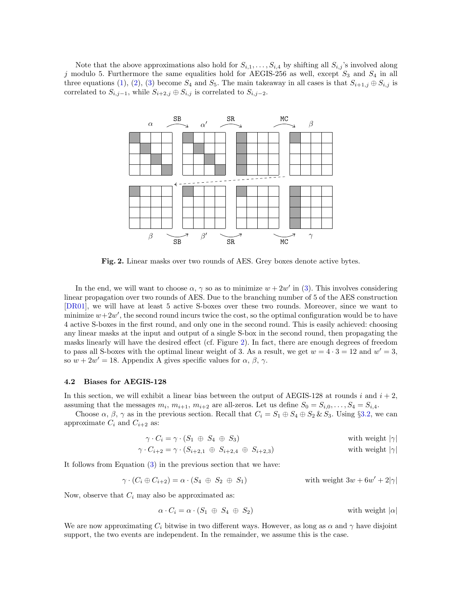Note that the above approximations also hold for  $S_{i,1}, \ldots, S_{i,4}$  by shifting all  $S_{i,j}$ 's involved along j modulo 5. Furthermore the same equalities hold for AEGIS-256 as well, except  $S_3$  and  $S_4$  in all three equations [\(1\)](#page-4-1), [\(2\)](#page-4-0), [\(3\)](#page-4-2) become  $S_4$  and  $S_5$ . The main takeaway in all cases is that  $S_{i+1,j} \oplus S_{i,j}$  is correlated to  $S_{i,j-1}$ , while  $S_{i+2,j} \oplus S_{i,j}$  is correlated to  $S_{i,j-2}$ .



<span id="page-5-0"></span>Fig. 2. Linear masks over two rounds of AES. Grey boxes denote active bytes.

In the end, we will want to choose  $\alpha$ ,  $\gamma$  so as to minimize  $w + 2w'$  in [\(3\)](#page-4-2). This involves considering linear propagation over two rounds of AES. Due to the branching number of 5 of the AES construction [\[DR01\]](#page-8-5), we will have at least 5 active S-boxes over these two rounds. Moreover, since we want to minimize  $w+2w'$ , the second round incurs twice the cost, so the optimal configuration would be to have 4 active S-boxes in the first round, and only one in the second round. This is easily achieved: choosing any linear masks at the input and output of a single S-box in the second round, then propagating the masks linearly will have the desired effect (cf. Figure [2\)](#page-5-0). In fact, there are enough degrees of freedom to pass all S-boxes with the optimal linear weight of 3. As a result, we get  $w = 4 \cdot 3 = 12$  and  $w' = 3$ , so  $w + 2w' = 18$ . Appendix A gives specific values for  $\alpha$ ,  $\beta$ ,  $\gamma$ .

### <span id="page-5-1"></span>4.2 Biases for AEGIS-128

In this section, we will exhibit a linear bias between the output of AEGIS-128 at rounds i and  $i + 2$ , assuming that the messages  $m_i$ ,  $m_{i+1}$ ,  $m_{i+2}$  are all-zeros. Let us define  $S_0 = S_{i,0}, \ldots, S_4 = S_{i,4}$ .

Choose  $\alpha$ ,  $\beta$ ,  $\gamma$  as in the previous section. Recall that  $C_i = S_1 \oplus S_4 \oplus S_2 \& S_3$ . Using §[3.2,](#page-4-3) we can approximate  $C_i$  and  $C_{i+2}$  as:

$$
\gamma \cdot C_i = \gamma \cdot (S_1 \oplus S_4 \oplus S_3) \qquad \text{with weight } |\gamma|
$$

$$
\gamma \cdot C_{i+2} = \gamma \cdot (S_{i+2,1} \oplus S_{i+2,4} \oplus S_{i+2,3})
$$
 with weight  $|\gamma|$ 

It follows from Equation [\(3\)](#page-4-2) in the previous section that we have:

$$
\gamma \cdot (C_i \oplus C_{i+2}) = \alpha \cdot (S_4 \oplus S_2 \oplus S_1) \qquad \text{with weight } 3w + 6w' + 2|\gamma|
$$

Now, observe that  $C_i$  may also be approximated as:

$$
\alpha \cdot C_i = \alpha \cdot (S_1 \oplus S_4 \oplus S_2) \qquad \text{with weight } |\alpha|
$$

We are now approximating  $C_i$  bitwise in two different ways. However, as long as  $\alpha$  and  $\gamma$  have disjoint support, the two events are independent. In the remainder, we assume this is the case.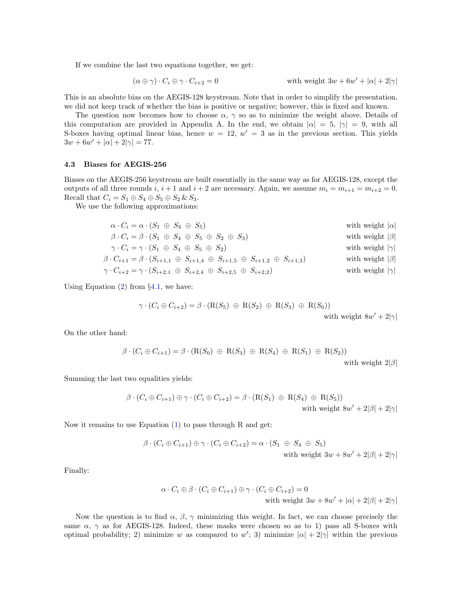If we combine the last two equations together, we get:

$$
(\alpha \oplus \gamma) \cdot C_i \oplus \gamma \cdot C_{i+2} = 0
$$
 with weight  $3w + 6w' + |\alpha| + 2|\gamma|$ 

This is an absolute bias on the AEGIS-128 keystream. Note that in order to simplify the presentation, we did not keep track of whether the bias is positive or negative; however, this is fixed and known.

The question now becomes how to choose  $\alpha$ ,  $\gamma$  so as to minimize the weight above. Details of this computation are provided in Appendix A. In the end, we obtain  $|\alpha| = 5$ ,  $|\gamma| = 9$ , with all S-boxes having optimal linear bias, hence  $w = 12$ ,  $w' = 3$  as in the previous section. This yields  $3w + 6w' + |\alpha| + 2|\gamma| = 77.$ 

#### 4.3 Biases for AEGIS-256

Biases on the AEGIS-256 keystream are built essentially in the same way as for AEGIS-128, except the outputs of all three rounds i,  $i + 1$  and  $i + 2$  are necessary. Again, we assume  $m_i = m_{i+1} = m_{i+2} = 0$ . Recall that  $C_i = S_1 \oplus S_4 \oplus S_5 \oplus S_2 \& S_3$ .

We use the following approximations:

| $\alpha \cdot C_i = \alpha \cdot (S_1 \oplus S_4 \oplus S_5)$                                                       | with weight $ \alpha $ |
|---------------------------------------------------------------------------------------------------------------------|------------------------|
| $\beta \cdot C_i = \beta \cdot (S_1 \oplus S_4 \oplus S_5 \oplus S_2 \oplus S_3)$                                   | with weight $ \beta $  |
| $\gamma \cdot C_i = \gamma \cdot (S_1 \oplus S_4 \oplus S_5 \oplus S_2)$                                            | with weight $ \gamma $ |
| $\beta \cdot C_{i+1} = \beta \cdot (S_{i+1,1} \oplus S_{i+1,4} \oplus S_{i+1,5} \oplus S_{i+1,2} \oplus S_{i+1,3})$ | with weight $ \beta $  |
| $\gamma \cdot C_{i+2} = \gamma \cdot (S_{i+2,1} \oplus S_{i+2,4} \oplus S_{i+2,5} \oplus S_{i+2,2})$                | with weight $ \gamma $ |

Using Equation  $(2)$  from  $\S 4.1$ , we have:

$$
\gamma \cdot (C_i \oplus C_{i+2}) = \beta \cdot (\mathcal{R}(S_5) \oplus \mathcal{R}(S_2) \oplus \mathcal{R}(S_3) \oplus \mathcal{R}(S_0))
$$

with weight  $8w' + 2|\gamma|$ 

On the other hand:

$$
\beta \cdot (C_i \oplus C_{i+1}) = \beta \cdot (R(S_0) \oplus R(S_3) \oplus R(S_4) \oplus R(S_1) \oplus R(S_2))
$$
  
with weight  $2|\beta|$ 

Summing the last two equalities yields:

$$
\beta \cdot (C_i \oplus C_{i+1}) \oplus \gamma \cdot (C_i \oplus C_{i+2}) = \beta \cdot (R(S_1) \oplus R(S_4) \oplus R(S_5))
$$
  
with weight  $8w' + 2|\beta| + 2|\gamma|$ 

Now it remains to use Equation [\(1\)](#page-4-1) to pass through R and get:

$$
\beta \cdot (C_i \oplus C_{i+1}) \oplus \gamma \cdot (C_i \oplus C_{i+2}) = \alpha \cdot (S_1 \oplus S_4 \oplus S_5)
$$
  
with weight  $3w + 8w' + 2|\beta| + 2|\gamma|$ 

Finally:

$$
\alpha \cdot C_i \oplus \beta \cdot (C_i \oplus C_{i+1}) \oplus \gamma \cdot (C_i \oplus C_{i+2}) = 0
$$
  
with weight  $3w + 8w' + |\alpha| + 2|\beta| + 2|\gamma|$ 

Now the question is to find  $\alpha$ ,  $\beta$ ,  $\gamma$  minimizing this weight. In fact, we can choose precisely the same  $\alpha$ ,  $\gamma$  as for AEGIS-128. Indeed, these masks were chosen so as to 1) pass all S-boxes with optimal probability; 2) minimize w as compared to w'; 3) minimize  $|\alpha| + 2|\gamma|$  within the previous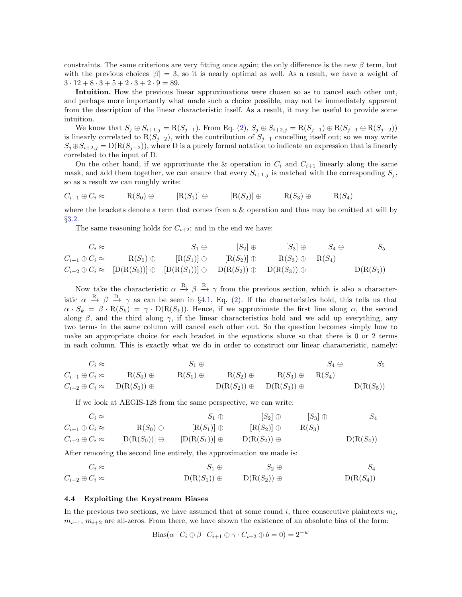constraints. The same criterions are very fitting once again; the only difference is the new  $\beta$  term, but with the previous choices  $|\beta| = 3$ , so it is nearly optimal as well. As a result, we have a weight of  $3 \cdot 12 + 8 \cdot 3 + 5 + 2 \cdot 3 + 2 \cdot 9 = 89.$ 

Intuition. How the previous linear approximations were chosen so as to cancel each other out, and perhaps more importantly what made such a choice possible, may not be immediately apparent from the description of the linear characteristic itself. As a result, it may be useful to provide some intuition.

We know that  $S_j \oplus S_{i+1,j} = R(S_{j-1})$ . From Eq. [\(2\)](#page-4-0),  $S_j \oplus S_{i+2,j} = R(S_{j-1}) \oplus R(S_{j-1} \oplus R(S_{j-2}))$ is linearly correlated to  $R(S_{j-2})$ , with the contribution of  $S_{j-1}$  cancelling itself out; so we may write  $S_j \oplus S_{i+2,j} = D(R(S_{j-2}))$ , where D is a purely formal notation to indicate an expression that is linearly correlated to the input of D.

On the other hand, if we approximate the & operation in  $C_i$  and  $C_{i+1}$  linearly along the same mask, and add them together, we can ensure that every  $S_{i+1,j}$  is matched with the corresponding  $S_j$ , so as a result we can roughly write:

$$
C_{i+1} \oplus C_i \approx \qquad \mathcal{R}(S_0) \oplus \qquad [\mathcal{R}(S_1)] \oplus \qquad [\mathcal{R}(S_2)] \oplus \qquad \mathcal{R}(S_3) \oplus \qquad \mathcal{R}(S_4)
$$

where the brackets denote a term that comes from a & operation and thus may be omitted at will by §[3.2.](#page-4-3)

The same reasoning holds for  $C_{i+2}$ ; and in the end we have:

$$
C_i \approx \n\begin{array}{ccc}\nC_i \approx & S_1 \oplus & [S_2] \oplus & [S_3] \oplus & S_4 \oplus & S_5 \\
C_{i+1} \oplus C_i \approx & R(S_0) \oplus & [R(S_1)] \oplus & [R(S_2)] \oplus & R(S_3) \oplus & R(S_4) \\
C_{i+2} \oplus C_i \approx & [D(R(S_0))] \oplus & [D(R(S_1))] \oplus & D(R(S_2)) \oplus & D(R(S_3)) \oplus & D(R(S_5))\n\end{array}
$$

Now take the characteristic  $\alpha \stackrel{R}{\rightarrow} \beta \stackrel{R}{\rightarrow} \gamma$  from the previous section, which is also a characteristic  $\alpha \stackrel{R}{\rightarrow} \beta \stackrel{D}{\rightarrow} \gamma$  as can be seen in §[4.1,](#page-4-4) Eq. [\(2\)](#page-4-0). If the characteristics hold, this tells us that  $\alpha \cdot S_k = \beta \cdot R(S_k) = \gamma \cdot D(R(S_k))$ . Hence, if we approximate the first line along  $\alpha$ , the second along  $\beta$ , and the third along  $\gamma$ , if the linear characteristics hold and we add up everything, any two terms in the same column will cancel each other out. So the question becomes simply how to make an appropriate choice for each bracket in the equations above so that there is 0 or 2 terms in each column. This is exactly what we do in order to construct our linear characteristic, namely:

$$
C_i \approx \n\begin{array}{ccc}\nC_i \approx & S_1 \oplus & S_4 \oplus & S_5 \\
C_{i+1} \oplus C_i \approx & R(S_0) \oplus & R(S_1) \oplus & R(S_2) \oplus & R(S_3) \oplus & R(S_4) \\
C_{i+2} \oplus C_i \approx & D(R(S_0)) \oplus & D(R(S_2)) \oplus & D(R(S_3)) \oplus & D(R(S_5))\n\end{array}
$$

If we look at AEGIS-128 from the same perspective, we can write:

$$
C_i \approx \qquad S_1 \oplus \qquad [S_2] \oplus \qquad [S_3] \oplus \qquad S_4
$$
  
\n
$$
C_{i+1} \oplus C_i \approx \qquad R(S_0) \oplus \qquad [R(S_1)] \oplus \qquad [R(S_2)] \oplus \qquad R(S_3)
$$
  
\n
$$
C_{i+2} \oplus C_i \approx \qquad [D(R(S_0))] \oplus \qquad [D(R(S_1))] \oplus \qquad D(R(S_2)) \oplus \qquad D(R(S_4))
$$

After removing the second line entirely, the approximation we made is:

$$
C_i \approx \qquad S_1 \oplus \qquad S_2 \oplus \qquad S_4
$$
  
\n
$$
C_{i+2} \oplus C_i \approx \qquad D(R(S_1)) \oplus \qquad D(R(S_2)) \oplus \qquad D(R(S_4))
$$

#### 4.4 Exploiting the Keystream Biases

In the previous two sections, we have assumed that at some round  $i$ , three consecutive plaintexts  $m_i$ ,  $m_{i+1}, m_{i+2}$  are all-zeros. From there, we have shown the existence of an absolute bias of the form:

Bias
$$
(\alpha \cdot C_i \oplus \beta \cdot C_{i+1} \oplus \gamma \cdot C_{i+2} \oplus b = 0) = 2^{-w}
$$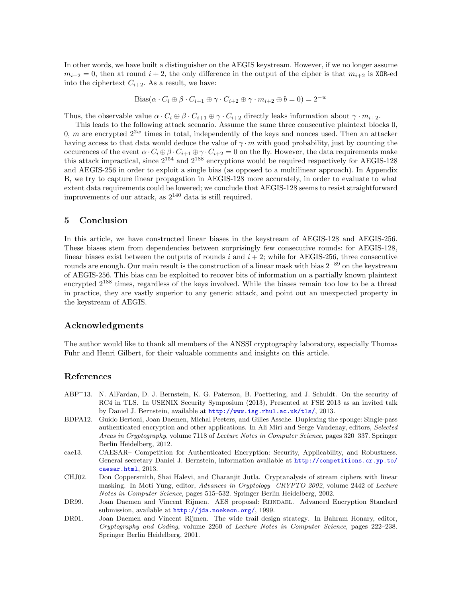In other words, we have built a distinguisher on the AEGIS keystream. However, if we no longer assume  $m_{i+2} = 0$ , then at round  $i + 2$ , the only difference in the output of the cipher is that  $m_{i+2}$  is XOR-ed into the ciphertext  $C_{i+2}$ . As a result, we have:

Bias
$$
(\alpha \cdot C_i \oplus \beta \cdot C_{i+1} \oplus \gamma \cdot C_{i+2} \oplus \gamma \cdot m_{i+2} \oplus b = 0) = 2^{-w}
$$

Thus, the observable value  $\alpha \cdot C_i \oplus \beta \cdot C_{i+1} \oplus \gamma \cdot C_{i+2}$  directly leaks information about  $\gamma \cdot m_{i+2}$ .

This leads to the following attack scenario. Assume the same three consecutive plaintext blocks 0, 0, m are encrypted  $2^{2w}$  times in total, independently of the keys and nonces used. Then an attacker having access to that data would deduce the value of  $\gamma \cdot m$  with good probability, just by counting the occurences of the event  $\alpha \cdot C_i \oplus \beta \cdot C_{i+1} \oplus \gamma \cdot C_{i+2} = 0$  on the fly. However, the data requirements make this attack impractical, since  $2^{154}$  and  $2^{188}$  encryptions would be required respectively for AEGIS-128 and AEGIS-256 in order to exploit a single bias (as opposed to a multilinear approach). In Appendix B, we try to capture linear propagation in AEGIS-128 more accurately, in order to evaluate to what extent data requirements could be lowered; we conclude that AEGIS-128 seems to resist straightforward improvements of our attack, as  $2^{140}$  data is still required.

### 5 Conclusion

In this article, we have constructed linear biases in the keystream of AEGIS-128 and AEGIS-256. These biases stem from dependencies between surprisingly few consecutive rounds: for AEGIS-128, linear biases exist between the outputs of rounds  $i$  and  $i + 2$ ; while for AEGIS-256, three consecutive rounds are enough. Our main result is the construction of a linear mask with bias  $2^{-89}$  on the keystream of AEGIS-256. This bias can be exploited to recover bits of information on a partially known plaintext encrypted  $2^{188}$  times, regardless of the keys involved. While the biases remain too low to be a threat in practice, they are vastly superior to any generic attack, and point out an unexpected property in the keystream of AEGIS.

### Acknowledgments

The author would like to thank all members of the ANSSI cryptography laboratory, especially Thomas Fuhr and Henri Gilbert, for their valuable comments and insights on this article.

### References

- <span id="page-8-3"></span>ABP<sup>+</sup>13. N. AlFardan, D. J. Bernstein, K. G. Paterson, B. Poettering, and J. Schuldt. On the security of RC4 in TLS. In USENIX Security Symposium (2013), Presented at FSE 2013 as an invited talk by Daniel J. Bernstein, available at <http://www.isg.rhul.ac.uk/tls/>, 2013.
- <span id="page-8-1"></span>BDPA12. Guido Bertoni, Joan Daemen, Michal Peeters, and Gilles Assche. Duplexing the sponge: Single-pass authenticated encryption and other applications. In Ali Miri and Serge Vaudenay, editors, Selected Areas in Cryptography, volume 7118 of Lecture Notes in Computer Science, pages 320–337. Springer Berlin Heidelberg, 2012.
- <span id="page-8-0"></span>cae13. CAESAR– Competition for Authenticated Encryption: Security, Applicability, and Robustness. General secretary Daniel J. Bernstein, information available at [http://competitions.cr.yp.to/](http://competitions.cr.yp.to/caesar.html) [caesar.html](http://competitions.cr.yp.to/caesar.html), 2013.
- <span id="page-8-2"></span>CHJ02. Don Coppersmith, Shai Halevi, and Charanjit Jutla. Cryptanalysis of stream ciphers with linear masking. In Moti Yung, editor, Advances in Cryptology CRYPTO 2002, volume 2442 of Lecture Notes in Computer Science, pages 515–532. Springer Berlin Heidelberg, 2002.
- <span id="page-8-4"></span>DR99. Joan Daemen and Vincent Rijmen. AES proposal: RIJNDAEL. Advanced Encryption Standard submission, available at <http://jda.noekeon.org/>, 1999.
- <span id="page-8-5"></span>DR01. Joan Daemen and Vincent Rijmen. The wide trail design strategy. In Bahram Honary, editor, Cryptography and Coding, volume 2260 of Lecture Notes in Computer Science, pages 222–238. Springer Berlin Heidelberg, 2001.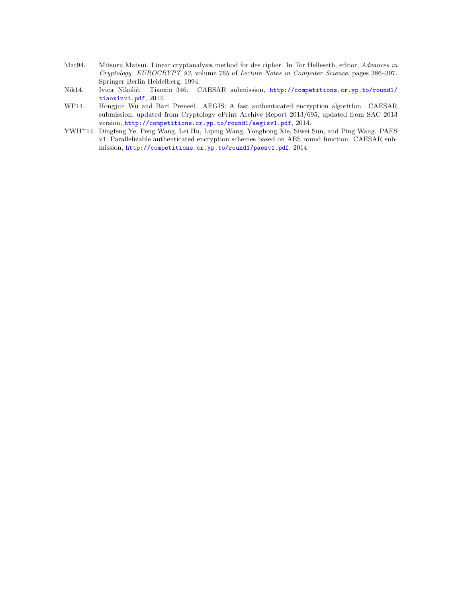- <span id="page-9-3"></span>Mat94. Mitsuru Matsui. Linear cryptanalysis method for des cipher. In Tor Helleseth, editor, Advances in Cryptology EUROCRYPT 93, volume 765 of Lecture Notes in Computer Science, pages 386–397. Springer Berlin Heidelberg, 1994.
- <span id="page-9-2"></span>Nik14. Ivica Nikolić. Tiaoxin-346. CAESAR submission, [http://competitions.cr.yp.to/round1/](http://competitions.cr.yp.to/round1/tiaoxinv1.pdf) [tiaoxinv1.pdf](http://competitions.cr.yp.to/round1/tiaoxinv1.pdf), 2014.
- <span id="page-9-0"></span>WP14. Hongjun Wu and Bart Preneel. AEGIS: A fast authenticated encryption algorithm. CAESAR submission, updated from Cryptology ePrint Archive Report 2013/695, updated from SAC 2013 version, <http://competitions.cr.yp.to/round1/aegisv1.pdf>, 2014.
- <span id="page-9-1"></span>YWH<sup>+</sup>14. Dingfeng Ye, Peng Wang, Lei Hu, Liping Wang, Yonghong Xie, Siwei Sun, and Ping Wang. PAES v1: Parallelizable authenticated encryption schemes based on AES round function. CAESAR submission, <http://competitions.cr.yp.to/round1/paesv1.pdf>, 2014.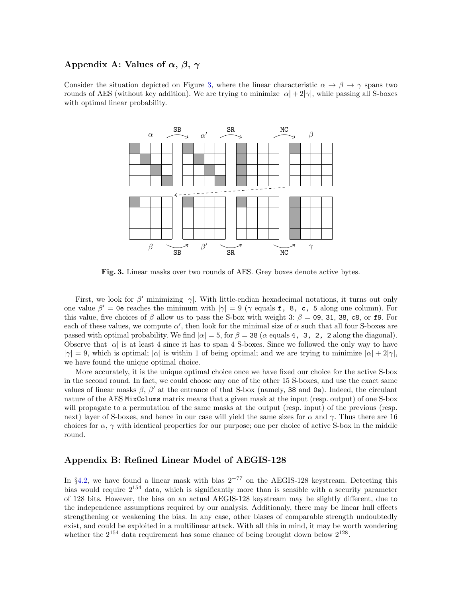## Appendix A: Values of  $\alpha$ ,  $\beta$ ,  $\gamma$

Consider the situation depicted on Figure [3,](#page-10-0) where the linear characteristic  $\alpha \to \beta \to \gamma$  spans two rounds of AES (without key addition). We are trying to minimize  $|\alpha| + 2|\gamma|$ , while passing all S-boxes with optimal linear probability.



<span id="page-10-0"></span>Fig. 3. Linear masks over two rounds of AES. Grey boxes denote active bytes.

First, we look for  $\beta'$  minimizing  $|\gamma|$ . With little-endian hexadecimal notations, it turns out only one value  $\beta' = 0$ e reaches the minimum with  $|\gamma| = 9$  ( $\gamma$  equals f, 8, c, 5 along one column). For this value, five choices of  $\beta$  allow us to pass the S-box with weight 3:  $\beta = 0.9$ , 31, 38, c8, or f9. For each of these values, we compute  $\alpha'$ , then look for the minimal size of  $\alpha$  such that all four S-boxes are passed with optimal probability. We find  $|\alpha| = 5$ , for  $\beta = 38$  ( $\alpha$  equals 4, 3, 2, 2 along the diagonal). Observe that  $|\alpha|$  is at least 4 since it has to span 4 S-boxes. Since we followed the only way to have  $|\gamma| = 9$ , which is optimal;  $|\alpha|$  is within 1 of being optimal; and we are trying to minimize  $|\alpha| + 2|\gamma|$ . we have found the unique optimal choice.

More accurately, it is the unique optimal choice once we have fixed our choice for the active S-box in the second round. In fact, we could choose any one of the other 15 S-boxes, and use the exact same values of linear masks  $\beta$ ,  $\beta'$  at the entrance of that S-box (namely, 38 and 0e). Indeed, the circulant nature of the AES MixColums matrix means that a given mask at the input (resp. output) of one S-box will propagate to a permutation of the same masks at the output (resp. input) of the previous (resp. next) layer of S-boxes, and hence in our case will yield the same sizes for  $\alpha$  and  $\gamma$ . Thus there are 16 choices for  $\alpha$ ,  $\gamma$  with identical properties for our purpose; one per choice of active S-box in the middle round.

## Appendix B: Refined Linear Model of AEGIS-128

In §[4.2,](#page-5-1) we have found a linear mask with bias  $2^{-77}$  on the AEGIS-128 keystream. Detecting this bias would require 2<sup>154</sup> data, which is significantly more than is sensible with a security parameter of 128 bits. However, the bias on an actual AEGIS-128 keystream may be slightly different, due to the independence assumptions required by our analysis. Additionaly, there may be linear hull effects strengthening or weakening the bias. In any case, other biases of comparable strength undoubtedly exist, and could be exploited in a multilinear attack. With all this in mind, it may be worth wondering whether the  $2^{154}$  data requirement has some chance of being brought down below  $2^{128}$ .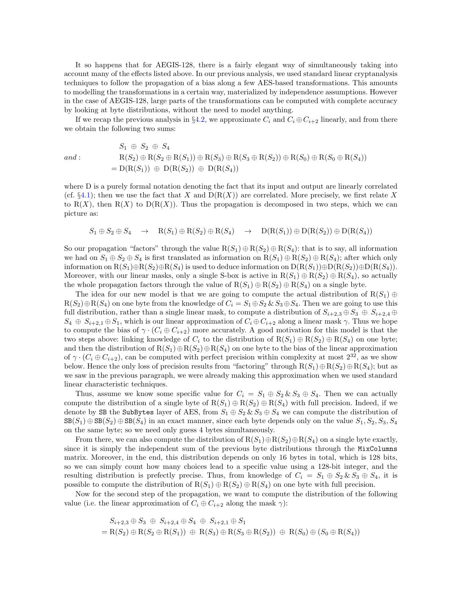It so happens that for AEGIS-128, there is a fairly elegant way of simultaneously taking into account many of the effects listed above. In our previous analysis, we used standard linear cryptanalysis techniques to follow the propagation of a bias along a few AES-based transformations. This amounts to modelling the transformations in a certain way, materialized by independence assumptions. However in the case of AEGIS-128, large parts of the transformations can be computed with complete accuracy by looking at byte distributions, without the need to model anything.

If we recap the previous analysis in §[4.2,](#page-5-1) we approximate  $C_i$  and  $C_i \oplus C_{i+2}$  linearly, and from there we obtain the following two sums:

$$
S_1 \oplus S_2 \oplus S_4
$$
  
\n
$$
R(S_2) \oplus R(S_2 \oplus R(S_1)) \oplus R(S_3) \oplus R(S_3 \oplus R(S_2)) \oplus R(S_0) \oplus R(S_0 \oplus R(S_4))
$$
  
\n
$$
= D(R(S_1)) \oplus D(R(S_2)) \oplus D(R(S_4))
$$

where D is a purely formal notation denoting the fact that its input and output are linearly correlated (cf.  $\S 4.1$ ); then we use the fact that X and  $D(R(X))$  are correlated. More precisely, we first relate X to  $R(X)$ , then  $R(X)$  to  $D(R(X))$ . Thus the propagation is decomposed in two steps, which we can picture as:

$$
S_1 \oplus S_2 \oplus S_4 \quad \rightarrow \quad R(S_1) \oplus R(S_2) \oplus R(S_4) \quad \rightarrow \quad D(R(S_1)) \oplus D(R(S_2)) \oplus D(R(S_4))
$$

So our propagation "factors" through the value  $R(S_1) \oplus R(S_2) \oplus R(S_4)$ : that is to say, all information we had on  $S_1 \oplus S_2 \oplus S_4$  is first translated as information on  $R(S_1) \oplus R(S_2) \oplus R(S_4)$ ; after which only information on  $R(S_1) \oplus R(S_2) \oplus R(S_4)$  is used to deduce information on  $D(R(S_1)) \oplus D(R(S_2)) \oplus D(R(S_4))$ . Moreover, with our linear masks, only a single S-box is active in  $R(S_1) \oplus R(S_2) \oplus R(S_4)$ , so actually the whole propagation factors through the value of  $R(S_1) \oplus R(S_2) \oplus R(S_4)$  on a single byte.

The idea for our new model is that we are going to compute the actual distribution of  $R(S_1) \oplus$  $R(S_2) \oplus R(S_4)$  on one byte from the knowledge of  $C_i = S_1 \oplus S_2 \& S_3 \oplus S_4$ . Then we are going to use this full distribution, rather than a single linear mask, to compute a distribution of  $S_{i+2,3} \oplus S_3 \oplus S_{i+2,4} \oplus$  $S_4 \oplus S_{i+2,1} \oplus S_1$ , which is our linear approximation of  $C_i \oplus C_{i+2}$  along a linear mask  $\gamma$ . Thus we hope to compute the bias of  $\gamma \cdot (C_i \oplus C_{i+2})$  more accurately. A good motivation for this model is that the two steps above: linking knowledge of  $C_i$  to the distribution of  $R(S_1) \oplus R(S_2) \oplus R(S_4)$  on one byte; and then the distribution of  $R(S_1) \oplus R(S_2) \oplus R(S_4)$  on one byte to the bias of the linear approximation of  $\gamma \cdot (C_i \oplus C_{i+2})$ , can be computed with perfect precision within complexity at most  $2^{32}$ , as we show below. Hence the only loss of precision results from "factoring" through  $R(S_1) \oplus R(S_2) \oplus R(S_4)$ ; but as we saw in the previous paragraph, we were already making this approximation when we used standard linear characteristic techniques.

Thus, assume we know some specific value for  $C_i = S_1 \oplus S_2 \& S_3 \oplus S_4$ . Then we can actually compute the distribution of a single byte of  $R(S_1) \oplus R(S_2) \oplus R(S_4)$  with full precision. Indeed, if we denote by SB the SubBytes layer of AES, from  $S_1 \oplus S_2 \& S_3 \oplus S_4$  we can compute the distribution of  $\text{SB}(S_1) \oplus \text{SB}(S_2) \oplus \text{SB}(S_4)$  in an exact manner, since each byte depends only on the value  $S_1, S_2, S_3, S_4$ on the same byte; so we need only guess 4 bytes simultaneously.

From there, we can also compute the distribution of  $R(S_1) \oplus R(S_2) \oplus R(S_4)$  on a single byte exactly, since it is simply the independent sum of the previous byte distributions through the MixColumns matrix. Moreover, in the end, this distribution depends on only 16 bytes in total, which is 128 bits, so we can simply count how many choices lead to a specific value using a 128-bit integer, and the resulting distribution is prefectly precise. Thus, from knowledge of  $C_i = S_1 \oplus S_2 \& S_3 \oplus S_4$ , it is possible to compute the distribution of  $R(S_1) \oplus R(S_2) \oplus R(S_4)$  on one byte with full precision.

Now for the second step of the propagation, we want to compute the distribution of the following value (i.e. the linear approximation of  $C_i \oplus C_{i+2}$  along the mask  $\gamma$ ):

$$
S_{i+2,3} \oplus S_3 \oplus S_{i+2,4} \oplus S_4 \oplus S_{i+2,1} \oplus S_1
$$
  
= R(S<sub>2</sub>)  $\oplus$  R(S<sub>2</sub>  $\oplus$  R(S<sub>1</sub>))  $\oplus$  R(S<sub>3</sub>)  $\oplus$  R(S<sub>3</sub>  $\oplus$  R(S<sub>2</sub>))  $\oplus$  R(S<sub>0</sub>)  $\oplus$  (S<sub>0</sub>  $\oplus$  R(S<sub>4</sub>))